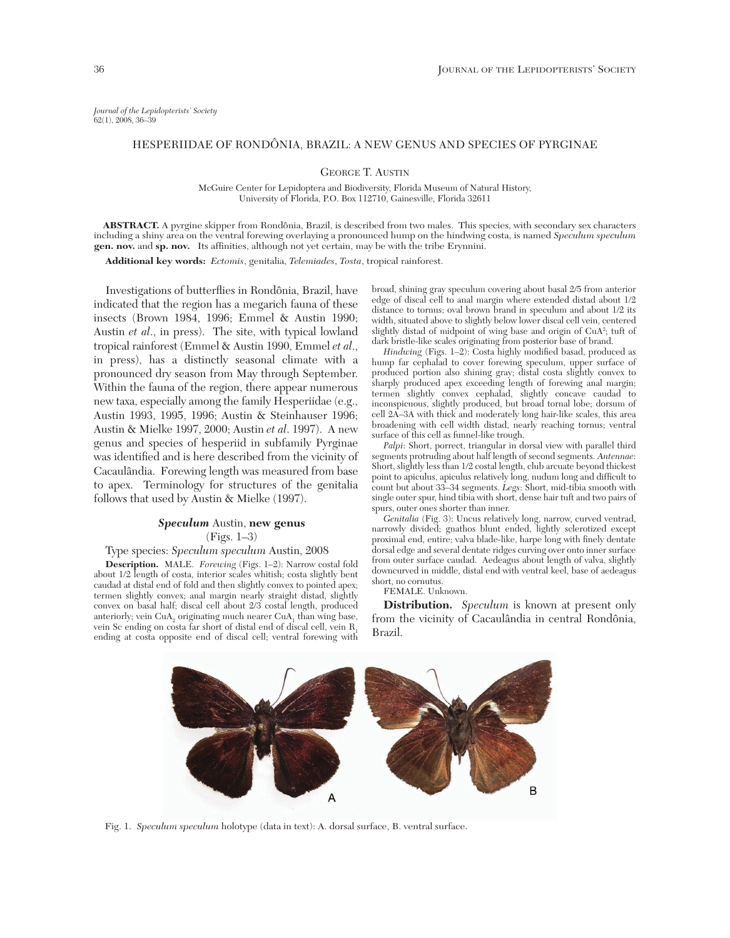*Journal of the Lepidopterists' Society* 62(1), 2008, 36–39

## HESPERIIDAE OF RONDÔNIA, BRAZIL: A NEW GENUS AND SPECIES OF PYRGINAE

GEORGE T. AUSTIN

McGuire Center for Lepidoptera and Biodiversity, Florida Museum of Natural History, University of Florida, P.O. Box 112710, Gainesville, Florida 32611

**ABSTRACT.** A pyrgine skipper from Rondônia, Brazil, is described from two males. This species, with secondary sex characters including a shiny area on the ventral forewing overlaying a pronounced hump on the hindwing costa, is named *Speculum speculum* **gen. nov.** and **sp. nov.** Its affinities, although not yet certain, may be with the tribe Erynnini.

**Additional key words:** *Ectomis*, genitalia, *Telemiades*, *Tosta*, tropical rainforest.

Investigations of butterflies in Rondônia, Brazil, have indicated that the region has a megarich fauna of these insects (Brown 1984, 1996; Emmel & Austin 1990; Austin *et al*., in press). The site, with typical lowland tropical rainforest (Emmel & Austin 1990, Emmel *et al*., in press), has a distinctly seasonal climate with a pronounced dry season from May through September. Within the fauna of the region, there appear numerous new taxa, especially among the family Hesperiidae (e.g., Austin 1993, 1995, 1996; Austin & Steinhauser 1996; Austin & Mielke 1997, 2000; Austin *et al*. 1997). A new genus and species of hesperiid in subfamily Pyrginae was identified and is here described from the vicinity of Cacaulândia. Forewing length was measured from base to apex. Terminology for structures of the genitalia follows that used by Austin & Mielke (1997).

## *Speculum* Austin, **new genus**

(Figs. 1*–*3)

Type species: *Speculum speculum* Austin, 2008

**Description.** MALE. *Forewing* (Figs. 1*–*2): Narrow costal fold about 1/2 length of costa, interior scales whitish; costa slightly bent caudad at distal end of fold and then slightly convex to pointed apex; termen slightly convex; anal margin nearly straight distad, slightly convex on basal half; discal cell about 2/3 costal length, produced anteriorly; vein  $CuA<sub>2</sub>$  originating much nearer  $CuA<sub>1</sub>$  than wing base, vein Sc ending on costa far short of distal end of discal cell, vein R<sub>1</sub> ending at costa opposite end of discal cell; ventral forewing with

broad, shining gray speculum covering about basal 2/5 from anterior edge of discal cell to anal margin where extended distad about 1/2 distance to tornus; oval brown brand in speculum and about 1/2 its width, situated above to slightly below lower discal cell vein, centered slightly distad of midpoint of wing base and origin of CuA2 ; tuft of dark bristle-like scales originating from posterior base of brand.

*Hindwing* (Figs. 1*–*2): Costa highly modified basad, produced as hump far cephalad to cover forewing speculum, upper surface of produced portion also shining gray; distal costa slightly convex to sharply produced apex exceeding length of forewing anal margin; termen slightly convex cephalad, slightly concave caudad to inconspicuous, slightly produced, but broad tornal lobe; dorsum of cell 2A*–*3A with thick and moderately long hair-like scales, this area broadening with cell width distad, nearly reaching tornus; ventral surface of this cell as funnel-like trough.

*Palpi*: Short, porrect, triangular in dorsal view with parallel third segments protruding about half length of second segments. *Antennae*: Short, slightly less than 1/2 costal length, club arcuate beyond thickest point to apiculus, apiculus relatively long, nudum long and difficult to count but about 33*–*34 segments. *Legs*: Short, mid-tibia smooth with single outer spur, hind tibia with short, dense hair tuft and two pairs of spurs, outer ones shorter than inner.

*Genitalia* (Fig. 3): Uncus relatively long, narrow, curved ventrad, narrowly divided; gnathos blunt ended, lightly sclerotized except proximal end, entire; valva blade-like, harpe long with finely dentate dorsal edge and several dentate ridges curving over onto inner surface from outer surface caudad. Aedeagus about length of valva, slightly downcurved in middle, distal end with ventral keel, base of aedeagus short, no cornutus.

FEMALE. Unknown.

**Distribution.** *Speculum* is known at present only from the vicinity of Cacaulândia in central Rondônia, Brazil.



Fig. 1. *Speculum speculum* holotype (data in text): A. dorsal surface, B. ventral surface.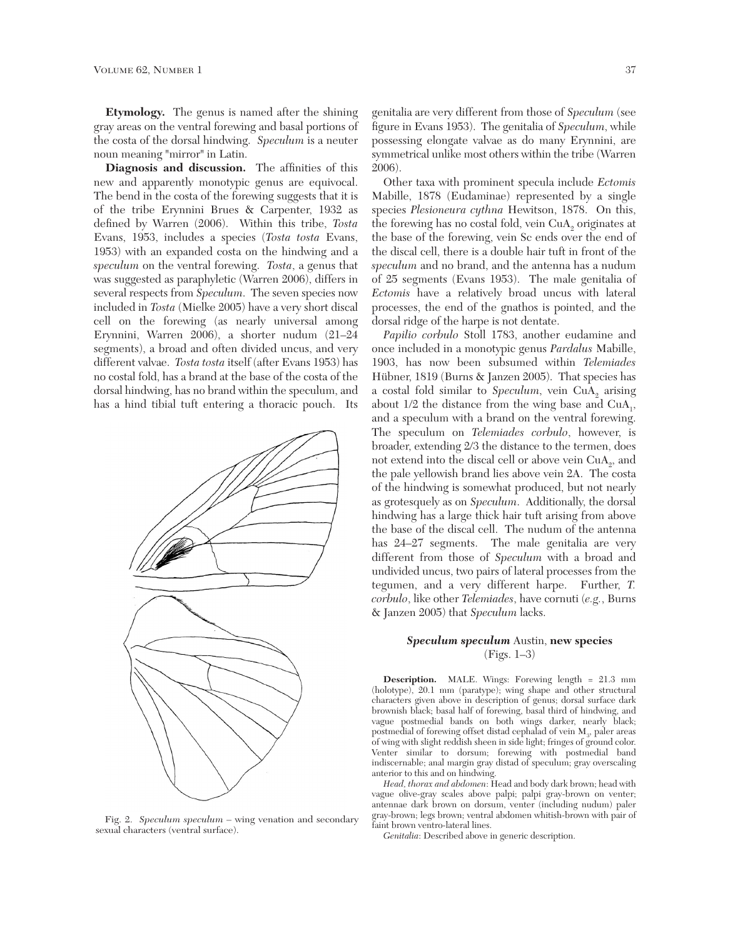**Etymology.** The genus is named after the shining gray areas on the ventral forewing and basal portions of the costa of the dorsal hindwing. *Speculum* is a neuter noun meaning "mirror" in Latin.

**Diagnosis and discussion.** The affinities of this new and apparently monotypic genus are equivocal. The bend in the costa of the forewing suggests that it is of the tribe Erynnini Brues & Carpenter, 1932 as defined by Warren (2006). Within this tribe, *Tosta* Evans, 1953, includes a species (*Tosta tosta* Evans, 1953) with an expanded costa on the hindwing and a *speculum* on the ventral forewing. *Tosta*, a genus that was suggested as paraphyletic (Warren 2006), differs in several respects from *Speculum*. The seven species now included in *Tosta* (Mielke 2005) have a very short discal cell on the forewing (as nearly universal among Erynnini, Warren 2006), a shorter nudum (21*–*24 segments), a broad and often divided uncus, and very different valvae. *Tosta tosta* itself (after Evans 1953) has no costal fold, has a brand at the base of the costa of the dorsal hindwing, has no brand within the speculum, and has a hind tibial tuft entering a thoracic pouch. Its



Fig. 2. *Speculum speculum* – wing venation and secondary sexual characters (ventral surface).

genitalia are very different from those of *Speculum* (see figure in Evans 1953). The genitalia of *Speculum*, while possessing elongate valvae as do many Erynnini, are symmetrical unlike most others within the tribe (Warren 2006).

Other taxa with prominent specula include *Ectomis* Mabille, 1878 (Eudaminae) represented by a single species *Plesioneura cythna* Hewitson, 1878. On this, the forewing has no costal fold, vein CuA<sub>2</sub> originates at the base of the forewing, vein Sc ends over the end of the discal cell, there is a double hair tuft in front of the *speculum* and no brand, and the antenna has a nudum of 25 segments (Evans 1953). The male genitalia of *Ectomis* have a relatively broad uncus with lateral processes, the end of the gnathos is pointed, and the dorsal ridge of the harpe is not dentate.

*Papilio corbulo* Stoll 1783, another eudamine and once included in a monotypic genus *Pardalus* Mabille, 1903, has now been subsumed within *Telemiades* Hübner, 1819 (Burns & Janzen 2005). That species has a costal fold similar to Speculum, vein CuA<sub>2</sub> arising about  $1/2$  the distance from the wing base and  $CuA<sub>1</sub>$ , and a speculum with a brand on the ventral forewing. The speculum on *Telemiades corbulo*, however, is broader, extending 2/3 the distance to the termen, does not extend into the discal cell or above vein  $CuA_{2}$ , and the pale yellowish brand lies above vein 2A. The costa of the hindwing is somewhat produced, but not nearly as grotesquely as on *Speculum*. Additionally, the dorsal hindwing has a large thick hair tuft arising from above the base of the discal cell. The nudum of the antenna has 24*–*27 segments. The male genitalia are very different from those of *Speculum* with a broad and undivided uncus, two pairs of lateral processes from the tegumen, and a very different harpe. Further, *T. corbulo*, like other *Telemiades*, have cornuti (*e.g.*, Burns & Janzen 2005) that *Speculum* lacks.

# *Speculum speculum* Austin, **new species** (Figs. 1*–*3)

**Description.** MALE. Wings: Forewing length = 21.3 mm (holotype), 20.1 mm (paratype); wing shape and other structural characters given above in description of genus; dorsal surface dark brownish black; basal half of forewing, basal third of hindwing, and vague postmedial bands on both wings darker, nearly black; postmedial of forewing offset distad cephalad of vein  $\mathbf{M}_3$ , paler areas of wing with slight reddish sheen in side light; fringes of ground color. Venter similar to dorsum; forewing with postmedial band indiscernable; anal margin gray distad of speculum; gray overscaling anterior to this and on hindwing.

*Head, thorax and abdomen*: Head and body dark brown; head with vague olive-gray scales above palpi; palpi gray-brown on venter; antennae dark brown on dorsum, venter (including nudum) paler gray-brown; legs brown; ventral abdomen whitish-brown with pair of faint brown ventro-lateral lines.

*Genitalia*: Described above in generic description.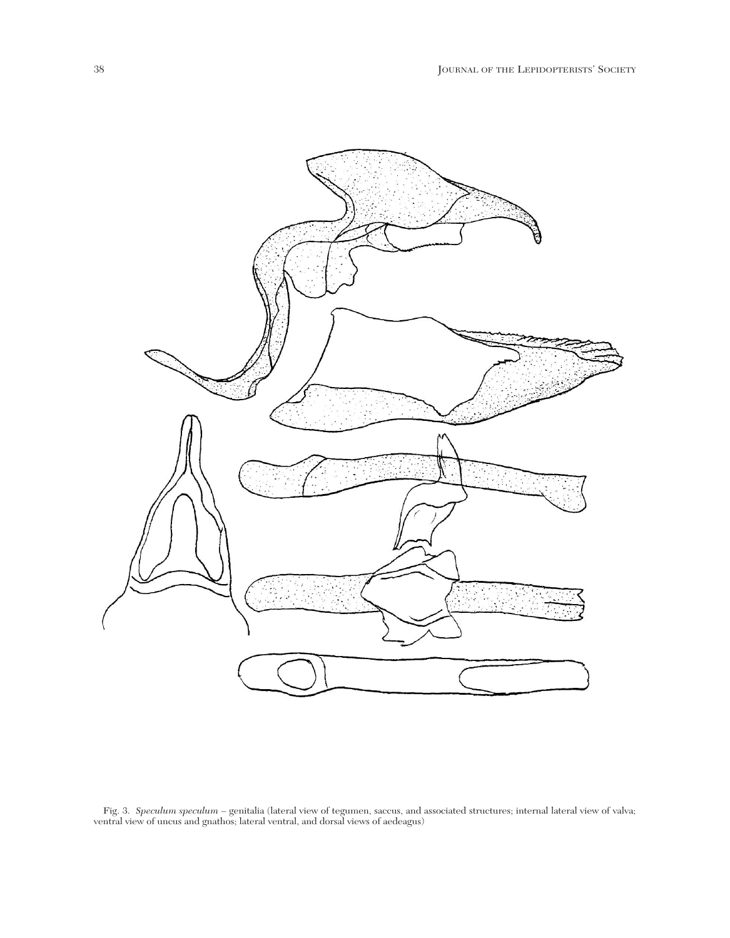

Fig. 3. *Speculum speculum* – genitalia (lateral view of tegumen, saccus, and associated structures; internal lateral view of valva; ventral view of uncus and gnathos; lateral ventral, and dorsal views of aedeagus)